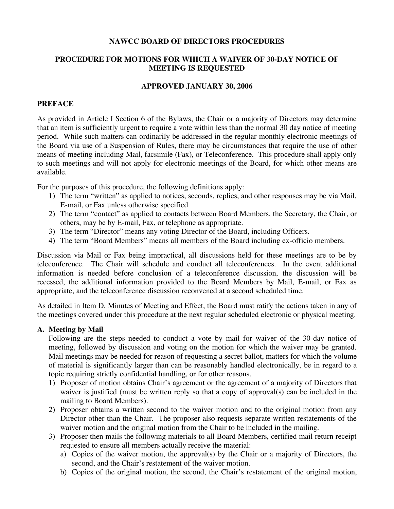### **NAWCC BOARD OF DIRECTORS PROCEDURES**

## **PROCEDURE FOR MOTIONS FOR WHICH A WAIVER OF 30-DAY NOTICE OF MEETING IS REQUESTED**

#### **APPROVED JANUARY 30, 2006**

### **PREFACE**

As provided in Article I Section 6 of the Bylaws, the Chair or a majority of Directors may determine that an item is sufficiently urgent to require a vote within less than the normal 30 day notice of meeting period. While such matters can ordinarily be addressed in the regular monthly electronic meetings of the Board via use of a Suspension of Rules, there may be circumstances that require the use of other means of meeting including Mail, facsimile (Fax), or Teleconference. This procedure shall apply only to such meetings and will not apply for electronic meetings of the Board, for which other means are available.

For the purposes of this procedure, the following definitions apply:

- 1) The term "written" as applied to notices, seconds, replies, and other responses may be via Mail, E-mail, or Fax unless otherwise specified.
- 2) The term "contact" as applied to contacts between Board Members, the Secretary, the Chair, or others, may be by E-mail, Fax, or telephone as appropriate.
- 3) The term "Director" means any voting Director of the Board, including Officers.
- 4) The term "Board Members" means all members of the Board including ex-officio members.

Discussion via Mail or Fax being impractical, all discussions held for these meetings are to be by teleconference. The Chair will schedule and conduct all teleconferences. In the event additional information is needed before conclusion of a teleconference discussion, the discussion will be recessed, the additional information provided to the Board Members by Mail, E-mail, or Fax as appropriate, and the teleconference discussion reconvened at a second scheduled time.

As detailed in Item D. Minutes of Meeting and Effect, the Board must ratify the actions taken in any of the meetings covered under this procedure at the next regular scheduled electronic or physical meeting.

### **A. Meeting by Mail**

Following are the steps needed to conduct a vote by mail for waiver of the 30-day notice of meeting, followed by discussion and voting on the motion for which the waiver may be granted. Mail meetings may be needed for reason of requesting a secret ballot, matters for which the volume of material is significantly larger than can be reasonably handled electronically, be in regard to a topic requiring strictly confidential handling, or for other reasons.

- 1) Proposer of motion obtains Chair's agreement or the agreement of a majority of Directors that waiver is justified (must be written reply so that a copy of approval(s) can be included in the mailing to Board Members).
- 2) Proposer obtains a written second to the waiver motion and to the original motion from any Director other than the Chair. The proposer also requests separate written restatements of the waiver motion and the original motion from the Chair to be included in the mailing.
- 3) Proposer then mails the following materials to all Board Members, certified mail return receipt requested to ensure all members actually receive the material:
	- a) Copies of the waiver motion, the approval(s) by the Chair or a majority of Directors, the second, and the Chair's restatement of the waiver motion.
	- b) Copies of the original motion, the second, the Chair's restatement of the original motion,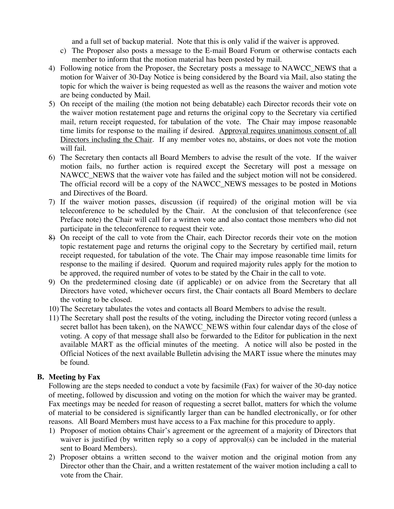and a full set of backup material. Note that this is only valid if the waiver is approved.

- c) The Proposer also posts a message to the E-mail Board Forum or otherwise contacts each member to inform that the motion material has been posted by mail.
- 4) Following notice from the Proposer, the Secretary posts a message to NAWCC\_NEWS that a motion for Waiver of 30-Day Notice is being considered by the Board via Mail, also stating the topic for which the waiver is being requested as well as the reasons the waiver and motion vote are being conducted by Mail.
- 5) On receipt of the mailing (the motion not being debatable) each Director records their vote on the waiver motion restatement page and returns the original copy to the Secretary via certified mail, return receipt requested, for tabulation of the vote. The Chair may impose reasonable time limits for response to the mailing if desired. Approval requires unanimous consent of all Directors including the Chair. If any member votes no, abstains, or does not vote the motion will fail.
- 6) The Secretary then contacts all Board Members to advise the result of the vote. If the waiver motion fails, no further action is required except the Secretary will post a message on NAWCC\_NEWS that the waiver vote has failed and the subject motion will not be considered. The official record will be a copy of the NAWCC NEWS messages to be posted in Motions and Directives of the Board.
- 7) If the waiver motion passes, discussion (if required) of the original motion will be via teleconference to be scheduled by the Chair. At the conclusion of that teleconference (see Preface note) the Chair will call for a written vote and also contact those members who did not participate in the teleconference to request their vote.
- 8) On receipt of the call to vote from the Chair, each Director records their vote on the motion topic restatement page and returns the original copy to the Secretary by certified mail, return receipt requested, for tabulation of the vote. The Chair may impose reasonable time limits for response to the mailing if desired. Quorum and required majority rules apply for the motion to be approved, the required number of votes to be stated by the Chair in the call to vote.
- 9) On the predetermined closing date (if applicable) or on advice from the Secretary that all Directors have voted, whichever occurs first, the Chair contacts all Board Members to declare the voting to be closed.
- 10) The Secretary tabulates the votes and contacts all Board Members to advise the result.
- 11) The Secretary shall post the results of the voting, including the Director voting record (unless a secret ballot has been taken), on the NAWCC\_NEWS within four calendar days of the close of voting. A copy of that message shall also be forwarded to the Editor for publication in the next available MART as the official minutes of the meeting. A notice will also be posted in the Official Notices of the next available Bulletin advising the MART issue where the minutes may be found.

### **B. Meeting by Fax**

Following are the steps needed to conduct a vote by facsimile (Fax) for waiver of the 30-day notice of meeting, followed by discussion and voting on the motion for which the waiver may be granted. Fax meetings may be needed for reason of requesting a secret ballot, matters for which the volume of material to be considered is significantly larger than can be handled electronically, or for other reasons. All Board Members must have access to a Fax machine for this procedure to apply.

- 1) Proposer of motion obtains Chair's agreement or the agreement of a majority of Directors that waiver is justified (by written reply so a copy of approval(s) can be included in the material sent to Board Members).
- 2) Proposer obtains a written second to the waiver motion and the original motion from any Director other than the Chair, and a written restatement of the waiver motion including a call to vote from the Chair.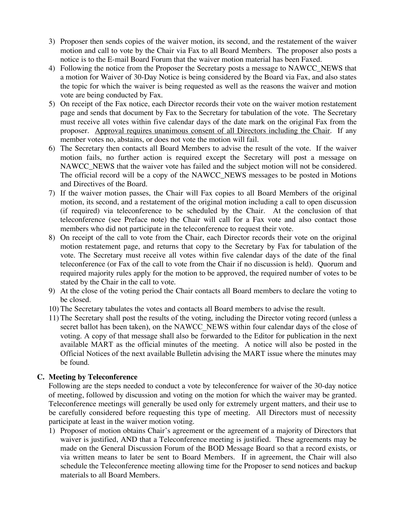- 3) Proposer then sends copies of the waiver motion, its second, and the restatement of the waiver motion and call to vote by the Chair via Fax to all Board Members. The proposer also posts a notice is to the E-mail Board Forum that the waiver motion material has been Faxed.
- 4) Following the notice from the Proposer the Secretary posts a message to NAWCC\_NEWS that a motion for Waiver of 30-Day Notice is being considered by the Board via Fax, and also states the topic for which the waiver is being requested as well as the reasons the waiver and motion vote are being conducted by Fax.
- 5) On receipt of the Fax notice, each Director records their vote on the waiver motion restatement page and sends that document by Fax to the Secretary for tabulation of the vote. The Secretary must receive all votes within five calendar days of the date mark on the original Fax from the proposer. Approval requires unanimous consent of all Directors including the Chair. If any member votes no, abstains, or does not vote the motion will fail.
- 6) The Secretary then contacts all Board Members to advise the result of the vote. If the waiver motion fails, no further action is required except the Secretary will post a message on NAWCC\_NEWS that the waiver vote has failed and the subject motion will not be considered. The official record will be a copy of the NAWCC\_NEWS messages to be posted in Motions and Directives of the Board.
- 7) If the waiver motion passes, the Chair will Fax copies to all Board Members of the original motion, its second, and a restatement of the original motion including a call to open discussion (if required) via teleconference to be scheduled by the Chair. At the conclusion of that teleconference (see Preface note) the Chair will call for a Fax vote and also contact those members who did not participate in the teleconference to request their vote.
- 8) On receipt of the call to vote from the Chair, each Director records their vote on the original motion restatement page, and returns that copy to the Secretary by Fax for tabulation of the vote. The Secretary must receive all votes within five calendar days of the date of the final teleconference (or Fax of the call to vote from the Chair if no discussion is held). Quorum and required majority rules apply for the motion to be approved, the required number of votes to be stated by the Chair in the call to vote.
- 9) At the close of the voting period the Chair contacts all Board members to declare the voting to be closed.
- 10) The Secretary tabulates the votes and contacts all Board members to advise the result.
- 11) The Secretary shall post the results of the voting, including the Director voting record (unless a secret ballot has been taken), on the NAWCC\_NEWS within four calendar days of the close of voting. A copy of that message shall also be forwarded to the Editor for publication in the next available MART as the official minutes of the meeting. A notice will also be posted in the Official Notices of the next available Bulletin advising the MART issue where the minutes may be found.

## **C. Meeting by Teleconference**

Following are the steps needed to conduct a vote by teleconference for waiver of the 30-day notice of meeting, followed by discussion and voting on the motion for which the waiver may be granted. Teleconference meetings will generally be used only for extremely urgent matters, and their use to be carefully considered before requesting this type of meeting. All Directors must of necessity participate at least in the waiver motion voting.

1) Proposer of motion obtains Chair's agreement or the agreement of a majority of Directors that waiver is justified, AND that a Teleconference meeting is justified. These agreements may be made on the General Discussion Forum of the BOD Message Board so that a record exists, or via written means to later be sent to Board Members. If in agreement, the Chair will also schedule the Teleconference meeting allowing time for the Proposer to send notices and backup materials to all Board Members.